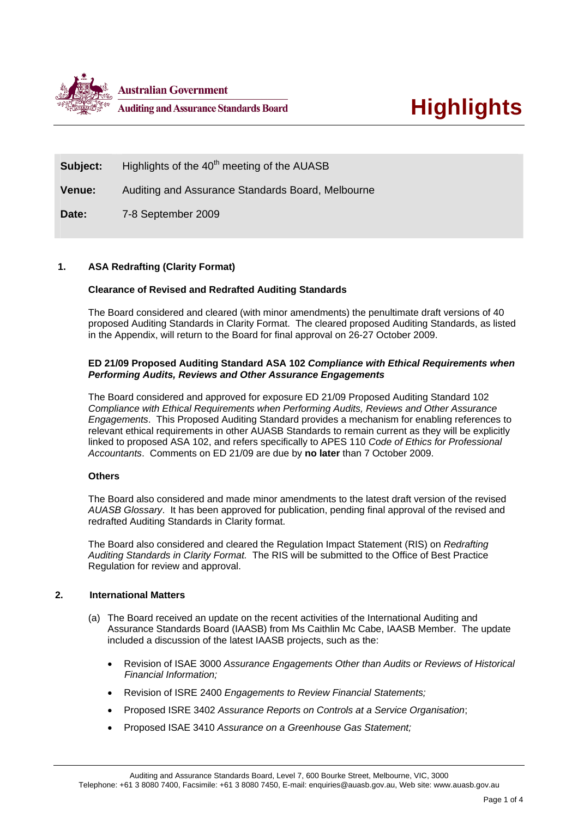

**Subject:** Highlights of the 40<sup>th</sup> meeting of the AUASB

**Venue:** Auditing and Assurance Standards Board, Melbourne

**Date:** 7-8 September 2009

## **1. ASA Redrafting (Clarity Format)**

## **Clearance of Revised and Redrafted Auditing Standards**

The Board considered and cleared (with minor amendments) the penultimate draft versions of 40 proposed Auditing Standards in Clarity Format. The cleared proposed Auditing Standards, as listed in the Appendix, will return to the Board for final approval on 26-27 October 2009.

## **ED 21/09 Proposed Auditing Standard ASA 102** *Compliance with Ethical Requirements when Performing Audits, Reviews and Other Assurance Engagements*

The Board considered and approved for exposure ED 21/09 Proposed Auditing Standard 102 *Compliance with Ethical Requirements when Performing Audits, Reviews and Other Assurance Engagements*. This Proposed Auditing Standard provides a mechanism for enabling references to relevant ethical requirements in other AUASB Standards to remain current as they will be explicitly linked to proposed ASA 102, and refers specifically to APES 110 *Code of Ethics for Professional Accountants*. Comments on ED 21/09 are due by **no later** than 7 October 2009.

## **Others**

The Board also considered and made minor amendments to the latest draft version of the revised *AUASB Glossary*. It has been approved for publication, pending final approval of the revised and redrafted Auditing Standards in Clarity format.

The Board also considered and cleared the Regulation Impact Statement (RIS) on *Redrafting Auditing Standards in Clarity Format.* The RIS will be submitted to the Office of Best Practice Regulation for review and approval.

## **2. International Matters**

- (a) The Board received an update on the recent activities of the International Auditing and Assurance Standards Board (IAASB) from Ms Caithlin Mc Cabe, IAASB Member. The update included a discussion of the latest IAASB projects, such as the:
	- Revision of ISAE 3000 *Assurance Engagements Other than Audits or Reviews of Historical Financial Information;*
	- Revision of ISRE 2400 *Engagements to Review Financial Statements;*
	- Proposed ISRE 3402 *Assurance Reports on Controls at a Service Organisation*;
	- Proposed ISAE 3410 *Assurance on a Greenhouse Gas Statement;*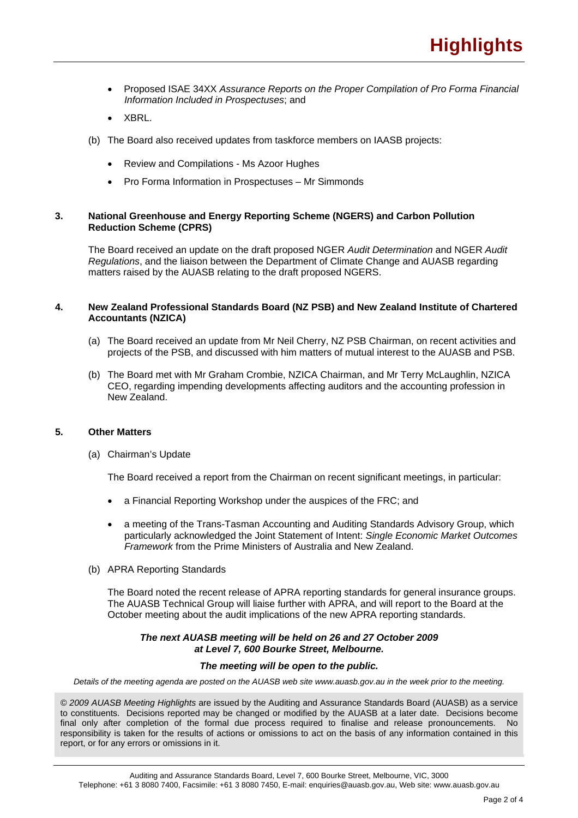- Proposed ISAE 34XX *Assurance Reports on the Proper Compilation of Pro Forma Financial Information Included in Prospectuses*; and
- XBRL.
- (b) The Board also received updates from taskforce members on IAASB projects:
	- Review and Compilations Ms Azoor Hughes
	- Pro Forma Information in Prospectuses Mr Simmonds

## **3. National Greenhouse and Energy Reporting Scheme (NGERS) and Carbon Pollution Reduction Scheme (CPRS)**

The Board received an update on the draft proposed NGER *Audit Determination* and NGER *Audit Regulations*, and the liaison between the Department of Climate Change and AUASB regarding matters raised by the AUASB relating to the draft proposed NGERS.

### **4. New Zealand Professional Standards Board (NZ PSB) and New Zealand Institute of Chartered Accountants (NZICA)**

- (a) The Board received an update from Mr Neil Cherry, NZ PSB Chairman, on recent activities and projects of the PSB, and discussed with him matters of mutual interest to the AUASB and PSB.
- (b) The Board met with Mr Graham Crombie, NZICA Chairman, and Mr Terry McLaughlin, NZICA CEO, regarding impending developments affecting auditors and the accounting profession in New Zealand.

## **5. Other Matters**

(a) Chairman's Update

The Board received a report from the Chairman on recent significant meetings, in particular:

- a Financial Reporting Workshop under the auspices of the FRC; and
- a meeting of the Trans-Tasman Accounting and Auditing Standards Advisory Group, which particularly acknowledged the Joint Statement of Intent: *Single Economic Market Outcomes Framework* from the Prime Ministers of Australia and New Zealand.
- (b) APRA Reporting Standards

The Board noted the recent release of APRA reporting standards for general insurance groups. The AUASB Technical Group will liaise further with APRA, and will report to the Board at the October meeting about the audit implications of the new APRA reporting standards.

#### *The next AUASB meeting will be held on 26 and 27 October 2009 at Level 7, 600 Bourke Street, Melbourne.*

#### *The meeting will be open to the public.*

*Details of the meeting agenda are posted on the AUASB web site www.auasb.gov.au in the week prior to the meeting.* 

*© 2009 AUASB Meeting Highlights* are issued by the Auditing and Assurance Standards Board (AUASB) as a service to constituents. Decisions reported may be changed or modified by the AUASB at a later date. Decisions become final only after completion of the formal due process required to finalise and release pronouncements. No responsibility is taken for the results of actions or omissions to act on the basis of any information contained in this report, or for any errors or omissions in it.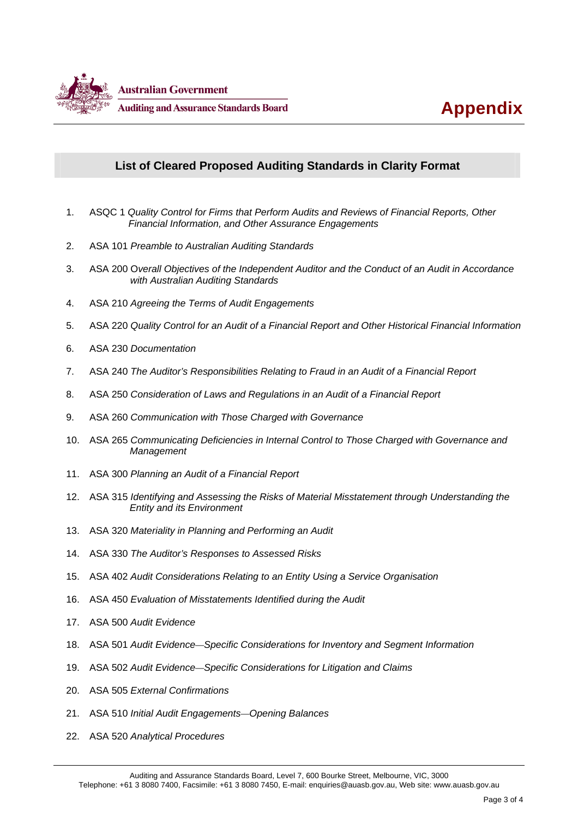

# **List of Cleared Proposed Auditing Standards in Clarity Format**

- 1. ASQC 1 *Quality Control for Firms that Perform Audits and Reviews of Financial Reports, Other Financial Information, and Other Assurance Engagements*
- 2. ASA 101 *Preamble to Australian Auditing Standards*
- 3. ASA 200 O*verall Objectives of the Independent Auditor and the Conduct of an Audit in Accordance with Australian Auditing Standards*
- 4. ASA 210 *Agreeing the Terms of Audit Engagements*
- 5. ASA 220 *Quality Control for an Audit of a Financial Report and Other Historical Financial Information*
- 6. ASA 230 *Documentation*
- 7. ASA 240 *The Auditor's Responsibilities Relating to Fraud in an Audit of a Financial Report*
- 8. ASA 250 *Consideration of Laws and Regulations in an Audit of a Financial Report*
- 9. ASA 260 *Communication with Those Charged with Governance*
- 10. ASA 265 *Communicating Deficiencies in Internal Control to Those Charged with Governance and Management*
- 11. ASA 300 *Planning an Audit of a Financial Report*
- 12. ASA 315 *Identifying and Assessing the Risks of Material Misstatement through Understanding the Entity and its Environment*
- 13. ASA 320 *Materiality in Planning and Performing an Audit*
- 14. ASA 330 *The Auditor's Responses to Assessed Risks*
- 15. ASA 402 *Audit Considerations Relating to an Entity Using a Service Organisation*
- 16. ASA 450 *Evaluation of Misstatements Identified during the Audit*
- 17. ASA 500 *Audit Evidence*
- 18. ASA 501 *Audit Evidence—Specific Considerations for Inventory and Segment Information*
- 19. ASA 502 *Audit Evidence—Specific Considerations for Litigation and Claims*
- 20. ASA 505 *External Confirmations*
- 21. ASA 510 *Initial Audit Engagements—Opening Balances*
- 22. ASA 520 *Analytical Procedures*